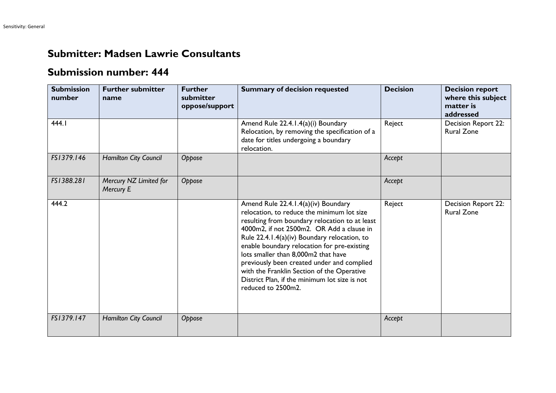## **Submitter: Madsen Lawrie Consultants**

## **Submission number: 444**

| <b>Submission</b><br>number | <b>Further submitter</b><br>name    | <b>Further</b><br>submitter<br>oppose/support | <b>Summary of decision requested</b>                                                                                                                                                                                                                                                                                                                                                                                                                                                      | <b>Decision</b> | <b>Decision report</b><br>where this subject<br>matter is<br>addressed |
|-----------------------------|-------------------------------------|-----------------------------------------------|-------------------------------------------------------------------------------------------------------------------------------------------------------------------------------------------------------------------------------------------------------------------------------------------------------------------------------------------------------------------------------------------------------------------------------------------------------------------------------------------|-----------------|------------------------------------------------------------------------|
| 444.1                       |                                     |                                               | Amend Rule 22.4.1.4(a)(i) Boundary<br>Relocation, by removing the specification of a<br>date for titles undergoing a boundary<br>relocation.                                                                                                                                                                                                                                                                                                                                              | Reject          | Decision Report 22:<br><b>Rural Zone</b>                               |
| FS1379.146                  | Hamilton City Council               | Oppose                                        |                                                                                                                                                                                                                                                                                                                                                                                                                                                                                           | Accept          |                                                                        |
| FS1388.281                  | Mercury NZ Limited for<br>Mercury E | Oppose                                        |                                                                                                                                                                                                                                                                                                                                                                                                                                                                                           | Accept          |                                                                        |
| 444.2                       |                                     |                                               | Amend Rule 22.4.1.4(a)(iv) Boundary<br>relocation, to reduce the minimum lot size<br>resulting from boundary relocation to at least<br>4000m2, if not 2500m2. OR Add a clause in<br>Rule 22.4.1.4(a)(iv) Boundary relocation, to<br>enable boundary relocation for pre-existing<br>lots smaller than 8,000m2 that have<br>previously been created under and complied<br>with the Franklin Section of the Operative<br>District Plan, if the minimum lot size is not<br>reduced to 2500m2. | Reject          | Decision Report 22:<br><b>Rural Zone</b>                               |
| FS1379.147                  | Hamilton City Council               | Oppose                                        |                                                                                                                                                                                                                                                                                                                                                                                                                                                                                           | Accept          |                                                                        |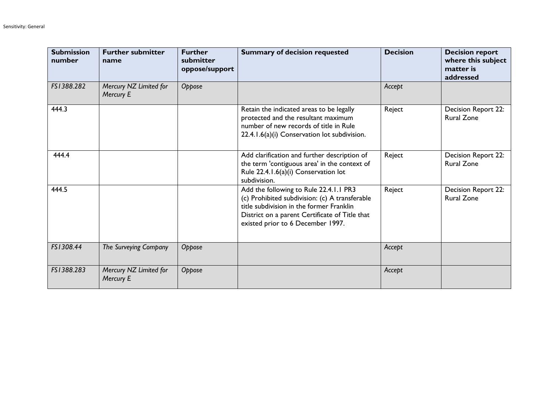| <b>Submission</b><br>number | <b>Further submitter</b><br>name    | <b>Further</b><br>submitter<br>oppose/support | <b>Summary of decision requested</b>                                                                                                                                                                                        | <b>Decision</b> | <b>Decision report</b><br>where this subject<br>matter is<br>addressed |
|-----------------------------|-------------------------------------|-----------------------------------------------|-----------------------------------------------------------------------------------------------------------------------------------------------------------------------------------------------------------------------------|-----------------|------------------------------------------------------------------------|
| FS1388.282                  | Mercury NZ Limited for<br>Mercury E | Oppose                                        |                                                                                                                                                                                                                             | Accept          |                                                                        |
| 444.3                       |                                     |                                               | Retain the indicated areas to be legally<br>protected and the resultant maximum<br>number of new records of title in Rule<br>22.4.1.6(a)(i) Conservation lot subdivision.                                                   | Reject          | Decision Report 22:<br><b>Rural Zone</b>                               |
| 444.4                       |                                     |                                               | Add clarification and further description of<br>the term 'contiguous area' in the context of<br>Rule 22.4.1.6(a)(i) Conservation lot<br>subdivision.                                                                        | Reject          | Decision Report 22:<br><b>Rural Zone</b>                               |
| 444.5                       |                                     |                                               | Add the following to Rule 22.4.1.1 PR3<br>(c) Prohibited subdivision: (c) A transferable<br>title subdivision in the former Franklin<br>District on a parent Certificate of Title that<br>existed prior to 6 December 1997. | Reject          | <b>Decision Report 22:</b><br><b>Rural Zone</b>                        |
| FS1308.44                   | The Surveying Company               | Oppose                                        |                                                                                                                                                                                                                             | Accept          |                                                                        |
| FS1388.283                  | Mercury NZ Limited for<br>Mercury E | Oppose                                        |                                                                                                                                                                                                                             | Accept          |                                                                        |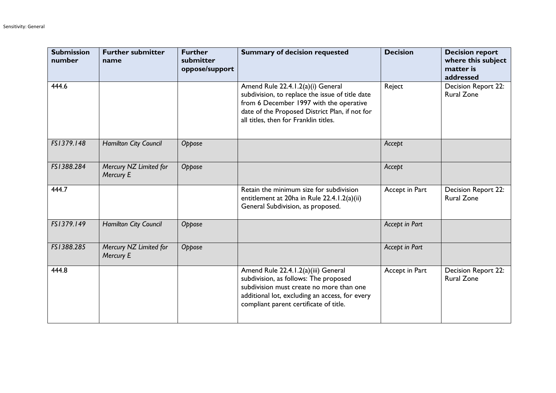| <b>Submission</b><br>number | <b>Further submitter</b><br>name    | <b>Further</b><br>submitter<br>oppose/support | <b>Summary of decision requested</b>                                                                                                                                                                                       | <b>Decision</b> | <b>Decision report</b><br>where this subject<br>matter is<br>addressed |
|-----------------------------|-------------------------------------|-----------------------------------------------|----------------------------------------------------------------------------------------------------------------------------------------------------------------------------------------------------------------------------|-----------------|------------------------------------------------------------------------|
| 444.6                       |                                     |                                               | Amend Rule 22.4.1.2(a)(i) General<br>subdivision, to replace the issue of title date<br>from 6 December 1997 with the operative<br>date of the Proposed District Plan, if not for<br>all titles, then for Franklin titles. | Reject          | Decision Report 22:<br><b>Rural Zone</b>                               |
| FS1379.148                  | <b>Hamilton City Council</b>        | Oppose                                        |                                                                                                                                                                                                                            | Accept          |                                                                        |
| FS1388.284                  | Mercury NZ Limited for<br>Mercury E | Oppose                                        |                                                                                                                                                                                                                            | Accept          |                                                                        |
| 444.7                       |                                     |                                               | Retain the minimum size for subdivision<br>entitlement at 20ha in Rule 22.4.1.2(a)(ii)<br>General Subdivision, as proposed.                                                                                                | Accept in Part  | <b>Decision Report 22:</b><br><b>Rural Zone</b>                        |
| FS1379.149                  | <b>Hamilton City Council</b>        | Oppose                                        |                                                                                                                                                                                                                            | Accept in Part  |                                                                        |
| FS1388.285                  | Mercury NZ Limited for<br>Mercury E | Oppose                                        |                                                                                                                                                                                                                            | Accept in Part  |                                                                        |
| 444.8                       |                                     |                                               | Amend Rule 22.4.1.2(a)(iii) General<br>subdivision, as follows: The proposed<br>subdivision must create no more than one<br>additional lot, excluding an access, for every<br>compliant parent certificate of title.       | Accept in Part  | Decision Report 22:<br><b>Rural Zone</b>                               |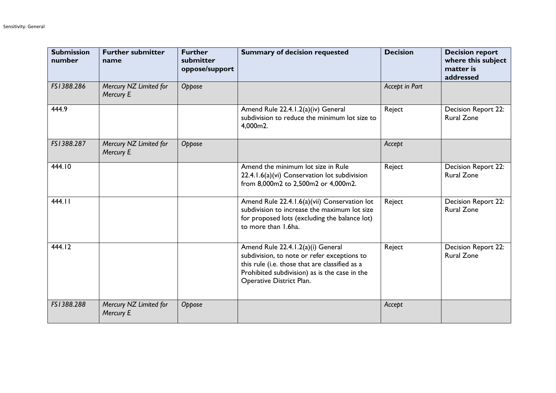| <b>Submission</b><br>number | <b>Further submitter</b><br>name    | <b>Further</b><br>submitter<br>oppose/support | <b>Summary of decision requested</b>                                                                                                                                                                            | <b>Decision</b> | <b>Decision report</b><br>where this subject<br>matter is<br>addressed |
|-----------------------------|-------------------------------------|-----------------------------------------------|-----------------------------------------------------------------------------------------------------------------------------------------------------------------------------------------------------------------|-----------------|------------------------------------------------------------------------|
| FS1388.286                  | Mercury NZ Limited for<br>Mercury E | Oppose                                        |                                                                                                                                                                                                                 | Accept in Part  |                                                                        |
| 444.9                       |                                     |                                               | Amend Rule 22.4.1.2(a)(iv) General<br>subdivision to reduce the minimum lot size to<br>4,000m2.                                                                                                                 | Reject          | Decision Report 22:<br><b>Rural Zone</b>                               |
| FS1388.287                  | Mercury NZ Limited for<br>Mercury E | Oppose                                        |                                                                                                                                                                                                                 | Accept          |                                                                        |
| 444.10                      |                                     |                                               | Amend the minimum lot size in Rule<br>22.4.1.6(a)(vi) Conservation lot subdivision<br>from 8,000m2 to 2,500m2 or 4,000m2.                                                                                       | Reject          | <b>Decision Report 22:</b><br><b>Rural Zone</b>                        |
| 444.11                      |                                     |                                               | Amend Rule 22.4.1.6(a)(vii) Conservation lot<br>subdivision to increase the maximum lot size<br>for proposed lots (excluding the balance lot)<br>to more than 1.6ha.                                            | Reject          | <b>Decision Report 22:</b><br><b>Rural Zone</b>                        |
| 444.12                      |                                     |                                               | Amend Rule 22.4.1.2(a)(i) General<br>subdivision, to note or refer exceptions to<br>this rule (i.e. those that are classified as a<br>Prohibited subdivision) as is the case in the<br>Operative District Plan. | Reject          | Decision Report 22:<br><b>Rural Zone</b>                               |
| FS1388.288                  | Mercury NZ Limited for<br>Mercury E | Oppose                                        |                                                                                                                                                                                                                 | Accept          |                                                                        |